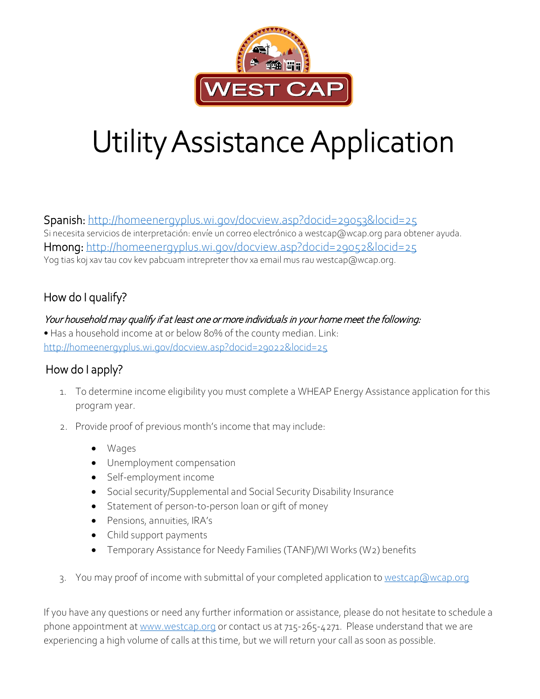

# Utility Assistance Application

Spanish:<http://homeenergyplus.wi.gov/docview.asp?docid=29053&locid=25> Si necesita servicios de interpretación: envíe un correo electrónico a westcap@wcap.org para obtener ayuda. Hmong:<http://homeenergyplus.wi.gov/docview.asp?docid=29052&locid=25> Yog tias koj xav tau cov kev pabcuam intrepreter thov xa email mus rau westcap@wcap.org.

## How do I qualify?

Your household may qualify if at least one or more individuals in your home meet the following: • Has a household income at or below 80% of the county median. Link: <http://homeenergyplus.wi.gov/docview.asp?docid=29022&locid=25>

## How do I apply?

- 1. To determine income eligibility you must complete a WHEAP Energy Assistance application for this program year.
- 2. Provide proof of previous month's income that may include:
	- Wages
	- Unemployment compensation
	- Self-employment income
	- Social security/Supplemental and Social Security Disability Insurance
	- Statement of person-to-person loan or gift of money
	- Pensions, annuities, IRA's
	- Child support payments
	- Temporary Assistance for Needy Families (TANF)/WI Works (W2) benefits
- 3. You may proof of income with submittal of your completed application to [westcap@wcap.org](mailto:westcap@wcap.org)

If you have any questions or need any further information or assistance, please do not hesitate to schedule a phone appointment a[t www.westcap.org](http://www.westcap.org/) or contact us at 715-265-4271. Please understand that we are experiencing a high volume of calls at this time, but we will return your call as soon as possible.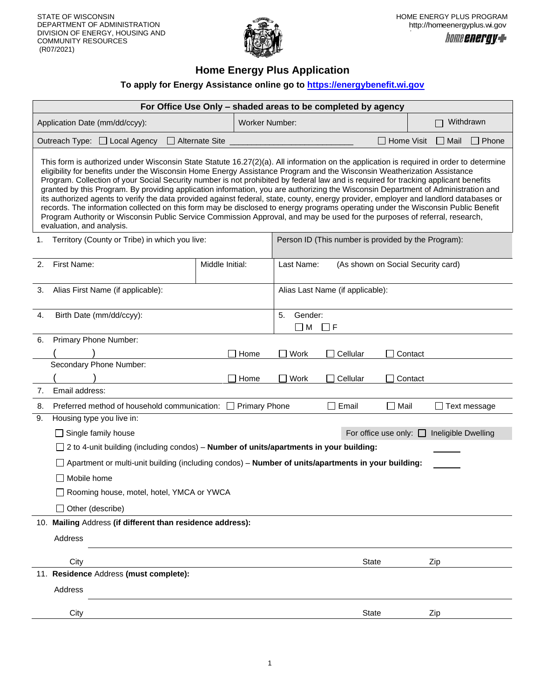

## **Home Energy Plus Application**

### **To apply for Energy Assistance online go to [https://energybenefit.wi.gov](https://energybenefit.wi.gov/)**

| For Office Use Only - shaded areas to be completed by agency                                                                                                                                                                                                                                                                                                                                                                                                                                                                                                                                                                                                                                                                                                                                                                                                                                                                                                                           |                       |                       |                           |                                                     |                                |                             |
|----------------------------------------------------------------------------------------------------------------------------------------------------------------------------------------------------------------------------------------------------------------------------------------------------------------------------------------------------------------------------------------------------------------------------------------------------------------------------------------------------------------------------------------------------------------------------------------------------------------------------------------------------------------------------------------------------------------------------------------------------------------------------------------------------------------------------------------------------------------------------------------------------------------------------------------------------------------------------------------|-----------------------|-----------------------|---------------------------|-----------------------------------------------------|--------------------------------|-----------------------------|
| Application Date (mm/dd/ccyy):                                                                                                                                                                                                                                                                                                                                                                                                                                                                                                                                                                                                                                                                                                                                                                                                                                                                                                                                                         |                       | <b>Worker Number:</b> |                           |                                                     |                                | Withdrawn                   |
| Outreach Type: □ Local Agency                                                                                                                                                                                                                                                                                                                                                                                                                                                                                                                                                                                                                                                                                                                                                                                                                                                                                                                                                          | $\Box$ Alternate Site |                       |                           |                                                     | $\Box$ Home Visit              | $\Box$ Mail<br>$\Box$ Phone |
| This form is authorized under Wisconsin State Statute 16.27(2)(a). All information on the application is required in order to determine<br>eligibility for benefits under the Wisconsin Home Energy Assistance Program and the Wisconsin Weatherization Assistance<br>Program. Collection of your Social Security number is not prohibited by federal law and is required for tracking applicant benefits<br>granted by this Program. By providing application information, you are authorizing the Wisconsin Department of Administration and<br>its authorized agents to verify the data provided against federal, state, county, energy provider, employer and landlord databases or<br>records. The information collected on this form may be disclosed to energy programs operating under the Wisconsin Public Benefit<br>Program Authority or Wisconsin Public Service Commission Approval, and may be used for the purposes of referral, research,<br>evaluation, and analysis. |                       |                       |                           |                                                     |                                |                             |
| Territory (County or Tribe) in which you live:<br>1.                                                                                                                                                                                                                                                                                                                                                                                                                                                                                                                                                                                                                                                                                                                                                                                                                                                                                                                                   |                       |                       |                           | Person ID (This number is provided by the Program): |                                |                             |
| First Name:<br>2.                                                                                                                                                                                                                                                                                                                                                                                                                                                                                                                                                                                                                                                                                                                                                                                                                                                                                                                                                                      | Middle Initial:       |                       | Last Name:                | (As shown on Social Security card)                  |                                |                             |
| 3.<br>Alias First Name (if applicable):                                                                                                                                                                                                                                                                                                                                                                                                                                                                                                                                                                                                                                                                                                                                                                                                                                                                                                                                                |                       |                       |                           | Alias Last Name (if applicable):                    |                                |                             |
| Birth Date (mm/dd/ccyy):<br>4.                                                                                                                                                                                                                                                                                                                                                                                                                                                                                                                                                                                                                                                                                                                                                                                                                                                                                                                                                         |                       |                       | Gender:<br>5.<br>$\Box$ M | $\Box$ F                                            |                                |                             |
| Primary Phone Number:<br>6.                                                                                                                                                                                                                                                                                                                                                                                                                                                                                                                                                                                                                                                                                                                                                                                                                                                                                                                                                            |                       |                       |                           |                                                     |                                |                             |
|                                                                                                                                                                                                                                                                                                                                                                                                                                                                                                                                                                                                                                                                                                                                                                                                                                                                                                                                                                                        |                       | Home                  | Work                      | Cellular                                            | Contact                        |                             |
| Secondary Phone Number:                                                                                                                                                                                                                                                                                                                                                                                                                                                                                                                                                                                                                                                                                                                                                                                                                                                                                                                                                                |                       | Home                  | Work                      | Cellular                                            | Contact                        |                             |
| Email address:<br>7.                                                                                                                                                                                                                                                                                                                                                                                                                                                                                                                                                                                                                                                                                                                                                                                                                                                                                                                                                                   |                       |                       |                           |                                                     |                                |                             |
| Preferred method of household communication: □ Primary Phone<br>8.                                                                                                                                                                                                                                                                                                                                                                                                                                                                                                                                                                                                                                                                                                                                                                                                                                                                                                                     |                       |                       |                           | $\square$ Email                                     | $\Box$ Mail                    | $\Box$ Text message         |
| 9.<br>Housing type you live in:                                                                                                                                                                                                                                                                                                                                                                                                                                                                                                                                                                                                                                                                                                                                                                                                                                                                                                                                                        |                       |                       |                           |                                                     |                                |                             |
| $\Box$ Single family house                                                                                                                                                                                                                                                                                                                                                                                                                                                                                                                                                                                                                                                                                                                                                                                                                                                                                                                                                             |                       |                       |                           |                                                     | For office use only: $\square$ | Ineligible Dwelling         |
| $\Box$ 2 to 4-unit building (including condos) – <b>Number of units/apartments in your building:</b>                                                                                                                                                                                                                                                                                                                                                                                                                                                                                                                                                                                                                                                                                                                                                                                                                                                                                   |                       |                       |                           |                                                     |                                |                             |
| □ Apartment or multi-unit building (including condos) – Number of units/apartments in your building:                                                                                                                                                                                                                                                                                                                                                                                                                                                                                                                                                                                                                                                                                                                                                                                                                                                                                   |                       |                       |                           |                                                     |                                |                             |
| $\Box$ Mobile home                                                                                                                                                                                                                                                                                                                                                                                                                                                                                                                                                                                                                                                                                                                                                                                                                                                                                                                                                                     |                       |                       |                           |                                                     |                                |                             |
| □ Rooming house, motel, hotel, YMCA or YWCA                                                                                                                                                                                                                                                                                                                                                                                                                                                                                                                                                                                                                                                                                                                                                                                                                                                                                                                                            |                       |                       |                           |                                                     |                                |                             |
| $\Box$ Other (describe)                                                                                                                                                                                                                                                                                                                                                                                                                                                                                                                                                                                                                                                                                                                                                                                                                                                                                                                                                                |                       |                       |                           |                                                     |                                |                             |
| 10. Mailing Address (if different than residence address):                                                                                                                                                                                                                                                                                                                                                                                                                                                                                                                                                                                                                                                                                                                                                                                                                                                                                                                             |                       |                       |                           |                                                     |                                |                             |
| Address                                                                                                                                                                                                                                                                                                                                                                                                                                                                                                                                                                                                                                                                                                                                                                                                                                                                                                                                                                                |                       |                       |                           |                                                     |                                |                             |
| City                                                                                                                                                                                                                                                                                                                                                                                                                                                                                                                                                                                                                                                                                                                                                                                                                                                                                                                                                                                   |                       |                       |                           | <b>State</b>                                        |                                | Zip                         |
| 11. Residence Address (must complete):                                                                                                                                                                                                                                                                                                                                                                                                                                                                                                                                                                                                                                                                                                                                                                                                                                                                                                                                                 |                       |                       |                           |                                                     |                                |                             |
| Address                                                                                                                                                                                                                                                                                                                                                                                                                                                                                                                                                                                                                                                                                                                                                                                                                                                                                                                                                                                |                       |                       |                           |                                                     |                                |                             |
| City                                                                                                                                                                                                                                                                                                                                                                                                                                                                                                                                                                                                                                                                                                                                                                                                                                                                                                                                                                                   |                       |                       |                           | State                                               |                                | Zip                         |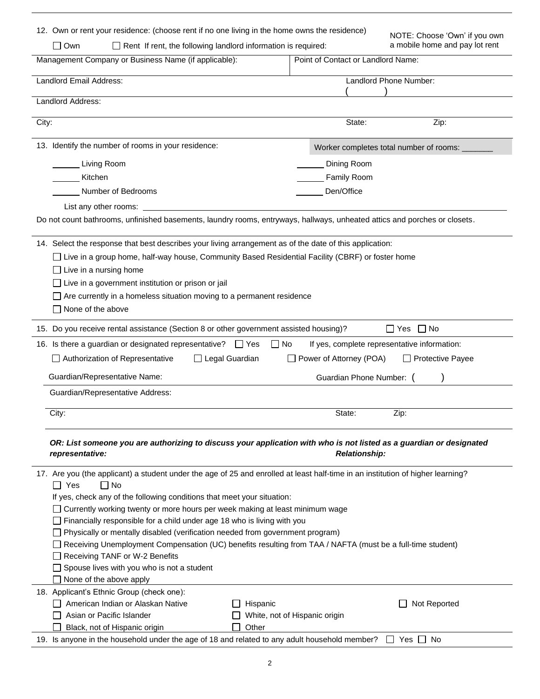| 12. Own or rent your residence: (choose rent if no one living in the home owns the residence)                                                            |                                    | NOTE: Choose 'Own' if you own                |
|----------------------------------------------------------------------------------------------------------------------------------------------------------|------------------------------------|----------------------------------------------|
| $\Box$ Own<br>$\Box$ Rent If rent, the following landlord information is required:                                                                       |                                    | a mobile home and pay lot rent               |
| Management Company or Business Name (if applicable):                                                                                                     | Point of Contact or Landlord Name: |                                              |
| Landlord Email Address:                                                                                                                                  |                                    | Landlord Phone Number:                       |
| Landlord Address:                                                                                                                                        |                                    |                                              |
|                                                                                                                                                          |                                    |                                              |
| City:                                                                                                                                                    | State:                             | Zip:                                         |
| 13. Identify the number of rooms in your residence:                                                                                                      |                                    | Worker completes total number of rooms:      |
| <b>Living Room</b>                                                                                                                                       | Dining Room                        |                                              |
| Kitchen                                                                                                                                                  | Family Room                        |                                              |
| Number of Bedrooms                                                                                                                                       | Den/Office                         |                                              |
| List any other rooms:                                                                                                                                    |                                    |                                              |
| Do not count bathrooms, unfinished basements, laundry rooms, entryways, hallways, unheated attics and porches or closets.                                |                                    |                                              |
|                                                                                                                                                          |                                    |                                              |
| 14. Select the response that best describes your living arrangement as of the date of this application:                                                  |                                    |                                              |
| □ Live in a group home, half-way house, Community Based Residential Facility (CBRF) or foster home                                                       |                                    |                                              |
| Live in a nursing home                                                                                                                                   |                                    |                                              |
| Live in a government institution or prison or jail                                                                                                       |                                    |                                              |
| Are currently in a homeless situation moving to a permanent residence                                                                                    |                                    |                                              |
| None of the above                                                                                                                                        |                                    |                                              |
| 15. Do you receive rental assistance (Section 8 or other government assisted housing)?                                                                   |                                    | $\Box$ Yes<br>$\Box$ No                      |
| 16. Is there a guardian or designated representative? □ Yes<br>$\Box$ No                                                                                 |                                    | If yes, complete representative information: |
| □ Authorization of Representative<br>Legal Guardian                                                                                                      | □ Power of Attorney (POA)          | □ Protective Payee                           |
| Guardian/Representative Name:                                                                                                                            | Guardian Phone Number: (           |                                              |
| Guardian/Representative Address:                                                                                                                         |                                    |                                              |
| City:                                                                                                                                                    | State:                             | Zip:                                         |
|                                                                                                                                                          |                                    |                                              |
| OR: List someone you are authorizing to discuss your application with who is not listed as a guardian or designated                                      | <b>Relationship:</b>               |                                              |
| representative:                                                                                                                                          |                                    |                                              |
| 17. Are you (the applicant) a student under the age of 25 and enrolled at least half-time in an institution of higher learning?                          |                                    |                                              |
| $\Box$ Yes<br>$\square$ No                                                                                                                               |                                    |                                              |
| If yes, check any of the following conditions that meet your situation:                                                                                  |                                    |                                              |
| □ Currently working twenty or more hours per week making at least minimum wage                                                                           |                                    |                                              |
| Financially responsible for a child under age 18 who is living with you<br>Physically or mentally disabled (verification needed from government program) |                                    |                                              |
| Receiving Unemployment Compensation (UC) benefits resulting from TAA / NAFTA (must be a full-time student)                                               |                                    |                                              |
| Receiving TANF or W-2 Benefits                                                                                                                           |                                    |                                              |
| $\Box$ Spouse lives with you who is not a student                                                                                                        |                                    |                                              |
| None of the above apply                                                                                                                                  |                                    |                                              |
| 18. Applicant's Ethnic Group (check one):                                                                                                                |                                    |                                              |
| American Indian or Alaskan Native<br>Hispanic                                                                                                            |                                    | Not Reported                                 |
| Asian or Pacific Islander                                                                                                                                | White, not of Hispanic origin      |                                              |
| Other<br>Black, not of Hispanic origin                                                                                                                   |                                    |                                              |
| 19. Is anyone in the household under the age of 18 and related to any adult household member?                                                            |                                    | Yes □ No                                     |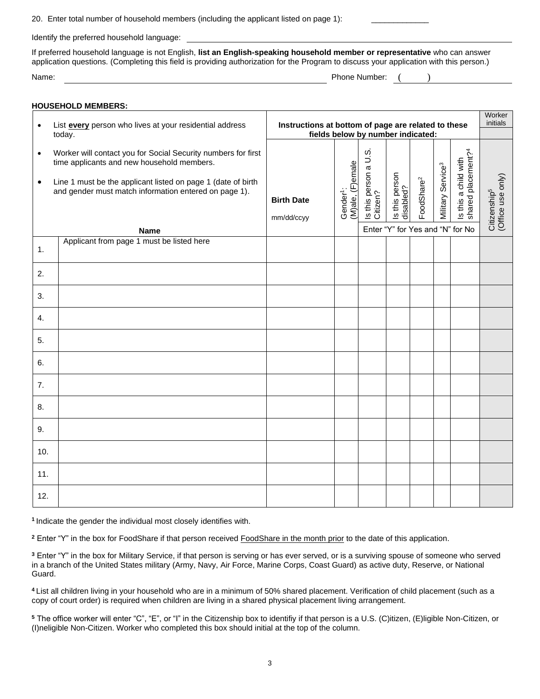20. Enter total number of household members (including the applicant listed on page 1):

Identify the preferred household language:

If preferred household language is not English, **list an English-speaking household member or representative** who can answer application questions. (Completing this field is providing authorization for the Program to discuss your application with this person.)

| Name. | umner.<br>NL<br>. |  |
|-------|-------------------|--|
|       |                   |  |

|                        | <b>HOUSEHOLD MEMBERS:</b>                                                                                                                                                                                                                           |                                                     |                                           |                                   |                             |                        |                               |                                                                                            |                                               |
|------------------------|-----------------------------------------------------------------------------------------------------------------------------------------------------------------------------------------------------------------------------------------------------|-----------------------------------------------------|-------------------------------------------|-----------------------------------|-----------------------------|------------------------|-------------------------------|--------------------------------------------------------------------------------------------|-----------------------------------------------|
| $\bullet$              | List every person who lives at your residential address<br>today.                                                                                                                                                                                   | Instructions at bottom of page are related to these |                                           | fields below by number indicated: |                             |                        |                               |                                                                                            | Worker<br>initials                            |
| $\bullet$<br>$\bullet$ | Worker will contact you for Social Security numbers for first<br>time applicants and new household members.<br>Line 1 must be the applicant listed on page 1 (date of birth<br>and gender must match information entered on page 1).<br><b>Name</b> | <b>Birth Date</b><br>mm/dd/ccyy                     | (M)ale, (F)emale<br>Gender <sup>1</sup> : | Is this person a U.S.<br>Citizen? | Is this person<br>disabled? | FoodShare <sup>2</sup> | Military Service <sup>3</sup> | Is this a child with<br>shared placement? <sup>4</sup><br>Enter "Y" for Yes and "N" for No | (Office use only)<br>Citizenship <sup>5</sup> |
| 1.                     | Applicant from page 1 must be listed here                                                                                                                                                                                                           |                                                     |                                           |                                   |                             |                        |                               |                                                                                            |                                               |
| 2.                     |                                                                                                                                                                                                                                                     |                                                     |                                           |                                   |                             |                        |                               |                                                                                            |                                               |
| 3.                     |                                                                                                                                                                                                                                                     |                                                     |                                           |                                   |                             |                        |                               |                                                                                            |                                               |
| 4.                     |                                                                                                                                                                                                                                                     |                                                     |                                           |                                   |                             |                        |                               |                                                                                            |                                               |
| 5.                     |                                                                                                                                                                                                                                                     |                                                     |                                           |                                   |                             |                        |                               |                                                                                            |                                               |
| 6.                     |                                                                                                                                                                                                                                                     |                                                     |                                           |                                   |                             |                        |                               |                                                                                            |                                               |
| 7.                     |                                                                                                                                                                                                                                                     |                                                     |                                           |                                   |                             |                        |                               |                                                                                            |                                               |
| 8.                     |                                                                                                                                                                                                                                                     |                                                     |                                           |                                   |                             |                        |                               |                                                                                            |                                               |
| 9.                     |                                                                                                                                                                                                                                                     |                                                     |                                           |                                   |                             |                        |                               |                                                                                            |                                               |
| 10.                    |                                                                                                                                                                                                                                                     |                                                     |                                           |                                   |                             |                        |                               |                                                                                            |                                               |
| 11.                    |                                                                                                                                                                                                                                                     |                                                     |                                           |                                   |                             |                        |                               |                                                                                            |                                               |
| 12.                    |                                                                                                                                                                                                                                                     |                                                     |                                           |                                   |                             |                        |                               |                                                                                            |                                               |

**1** Indicate the gender the individual most closely identifies with.

**<sup>2</sup>** Enter "Y" in the box for FoodShare if that person received FoodShare in the month prior to the date of this application.

**<sup>3</sup>** Enter "Y" in the box for Military Service, if that person is serving or has ever served, or is a surviving spouse of someone who served in a branch of the United States military (Army, Navy, Air Force, Marine Corps, Coast Guard) as active duty, Reserve, or National Guard.

**<sup>4</sup>** List all children living in your household who are in a minimum of 50% shared placement. Verification of child placement (such as a copy of court order) is required when children are living in a shared physical placement living arrangement.

**<sup>5</sup>** The office worker will enter "C", "E", or "I" in the Citizenship box to identifiy if that person is a U.S. (C)itizen, (E)ligible Non-Citizen, or (I)neligible Non-Citizen. Worker who completed this box should initial at the top of the column.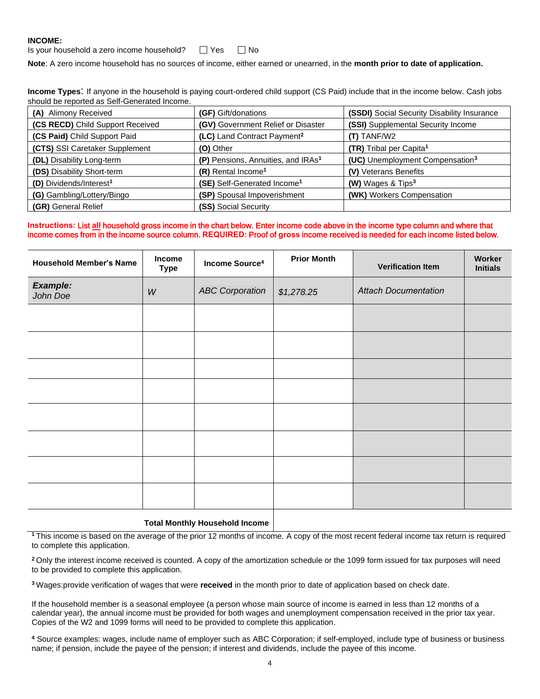#### **INCOME:**

| Is your household a zero income household? | $\Box$ Yes | $\Box$ No |
|--------------------------------------------|------------|-----------|
|--------------------------------------------|------------|-----------|

**Note**: A zero income household has no sources of income, either earned or unearned, in the **month prior to date of application.**

**Income Types**: If anyone in the household is paying court-ordered child support (CS Paid) include that in the income below. Cash jobs should be reported as Self-Generated Income.

| (A) Alimony Received                | (GF) Gift/donations                            | (SSDI) Social Security Disability Insurance |
|-------------------------------------|------------------------------------------------|---------------------------------------------|
| (CS RECD) Child Support Received    | (GV) Government Relief or Disaster             | (SSI) Supplemental Security Income          |
| (CS Paid) Child Support Paid        | (LC) Land Contract Payment <sup>2</sup>        | $(T)$ TANF/W2                               |
| (CTS) SSI Caretaker Supplement      | (O) Other                                      | (TR) Tribal per Capita <sup>1</sup>         |
| <b>(DL)</b> Disability Long-term    | (P) Pensions, Annuities, and IRAs <sup>1</sup> | (UC) Unemployment Compensation <sup>3</sup> |
| (DS) Disability Short-term          | (R) Rental Income <sup>1</sup>                 | (V) Veterans Benefits                       |
| (D) Dividends/Interest <sup>1</sup> | (SE) Self-Generated Income <sup>1</sup>        | (W) Wages & Tips <sup>3</sup>               |
| (G) Gambling/Lottery/Bingo          | (SP) Spousal Impoverishment                    | (WK) Workers Compensation                   |
| (GR) General Relief                 | (SS) Social Security                           |                                             |

#### **Instructions:** List **all** household gross income in the chart below. Enter income code above in the income type column and where that income comes from in the income source column. **REQUIRED:** Proof of **gross** income received is needed for each income listed below.

| <b>Income</b><br>Type | Income Source <sup>4</sup> | <b>Prior Month</b> | <b>Verification Item</b>    | Worker<br><b>Initials</b> |
|-----------------------|----------------------------|--------------------|-----------------------------|---------------------------|
| W                     | <b>ABC Corporation</b>     | \$1,278.25         | <b>Attach Documentation</b> |                           |
|                       |                            |                    |                             |                           |
|                       |                            |                    |                             |                           |
|                       |                            |                    |                             |                           |
|                       |                            |                    |                             |                           |
|                       |                            |                    |                             |                           |
|                       |                            |                    |                             |                           |
|                       |                            |                    |                             |                           |
|                       |                            |                    |                             |                           |
|                       |                            |                    |                             |                           |

#### **Total Monthly Household Income**

**<sup>1</sup>** This income is based on the average of the prior 12 months of income. A copy of the most recent federal income tax return is required to complete this application.

**<sup>2</sup>** Only the interest income received is counted. A copy of the amortization schedule or the 1099 form issued for tax purposes will need to be provided to complete this application.

**<sup>3</sup>** Wages:provide verification of wages that were **received** in the month prior to date of application based on check date.

If the household member is a seasonal employee (a person whose main source of income is earned in less than 12 months of a calendar year), the annual income must be provided for both wages and unemployment compensation received in the prior tax year. Copies of the W2 and 1099 forms will need to be provided to complete this application.

**<sup>4</sup>** Source examples: wages, include name of employer such as ABC Corporation; if self-employed, include type of business or business name; if pension, include the payee of the pension; if interest and dividends, include the payee of this income.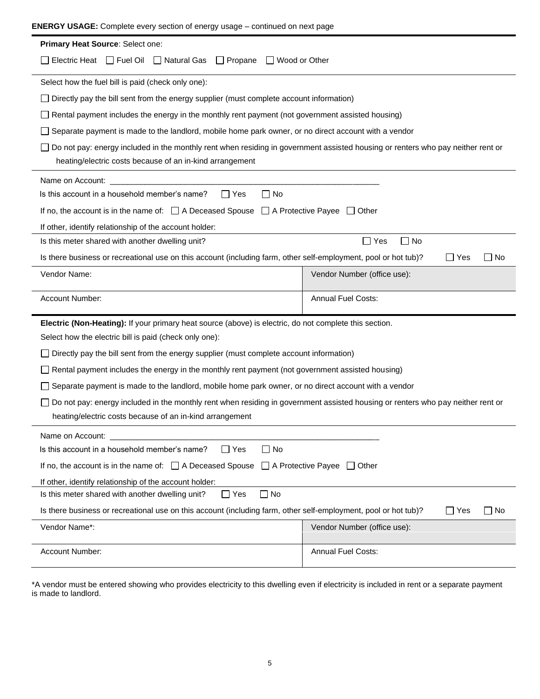| <b>ENERGY USAGE:</b> Complete every section of energy usage – continued on next page                                                                                                        |                             |  |  |  |  |
|---------------------------------------------------------------------------------------------------------------------------------------------------------------------------------------------|-----------------------------|--|--|--|--|
| Primary Heat Source: Select one:                                                                                                                                                            |                             |  |  |  |  |
| Electric Heat $\Box$ Fuel Oil $\Box$ Natural Gas $\Box$ Propane<br>□ Wood or Other                                                                                                          |                             |  |  |  |  |
| Select how the fuel bill is paid (check only one):                                                                                                                                          |                             |  |  |  |  |
| Directly pay the bill sent from the energy supplier (must complete account information)                                                                                                     |                             |  |  |  |  |
| Rental payment includes the energy in the monthly rent payment (not government assisted housing)                                                                                            |                             |  |  |  |  |
| Separate payment is made to the landlord, mobile home park owner, or no direct account with a vendor                                                                                        |                             |  |  |  |  |
| Do not pay: energy included in the monthly rent when residing in government assisted housing or renters who pay neither rent or<br>heating/electric costs because of an in-kind arrangement |                             |  |  |  |  |
| Name on Account:                                                                                                                                                                            |                             |  |  |  |  |
| Is this account in a household member's name?<br>$\Box$ No<br>l I Yes                                                                                                                       |                             |  |  |  |  |
| If no, the account is in the name of: $\Box$ A Deceased Spouse $\Box$ A Protective Payee $\Box$ Other                                                                                       |                             |  |  |  |  |
| If other, identify relationship of the account holder:                                                                                                                                      |                             |  |  |  |  |
| Is this meter shared with another dwelling unit?                                                                                                                                            | $\Box$ Yes<br>$\Box$ No     |  |  |  |  |
| Is there business or recreational use on this account (including farm, other self-employment, pool or hot tub)?                                                                             | $\Box$ Yes<br>$\Box$ No     |  |  |  |  |
| Vendor Name:                                                                                                                                                                                | Vendor Number (office use): |  |  |  |  |
| Account Number:                                                                                                                                                                             | <b>Annual Fuel Costs:</b>   |  |  |  |  |
| Electric (Non-Heating): If your primary heat source (above) is electric, do not complete this section.                                                                                      |                             |  |  |  |  |
| Select how the electric bill is paid (check only one):                                                                                                                                      |                             |  |  |  |  |
| Directly pay the bill sent from the energy supplier (must complete account information)                                                                                                     |                             |  |  |  |  |
| $\Box$ Rental payment includes the energy in the monthly rent payment (not government assisted housing)                                                                                     |                             |  |  |  |  |
| Separate payment is made to the landlord, mobile home park owner, or no direct account with a vendor                                                                                        |                             |  |  |  |  |
| Do not pay: energy included in the monthly rent when residing in government assisted housing or renters who pay neither rent or<br>heating/electric costs because of an in-kind arrangement |                             |  |  |  |  |
| Name on Account:                                                                                                                                                                            |                             |  |  |  |  |
| Is this account in a household member's name?<br>$\Box$ Yes<br>$\Box$ No                                                                                                                    |                             |  |  |  |  |
| If no, the account is in the name of: $\Box$ A Deceased Spouse<br>$\Box$ A Protective Payee $\Box$ Other                                                                                    |                             |  |  |  |  |
| If other, identify relationship of the account holder:                                                                                                                                      |                             |  |  |  |  |
| $\Box$ No<br>Is this meter shared with another dwelling unit?<br>$\Box$ Yes                                                                                                                 |                             |  |  |  |  |
| Is there business or recreational use on this account (including farm, other self-employment, pool or hot tub)?<br>$\Box$ Yes<br>$\sqcup$ No                                                |                             |  |  |  |  |
| Vendor Name*:<br>Vendor Number (office use):                                                                                                                                                |                             |  |  |  |  |
| Account Number:                                                                                                                                                                             | Annual Fuel Costs:          |  |  |  |  |

\*A vendor must be entered showing who provides electricity to this dwelling even if electricity is included in rent or a separate payment is made to landlord.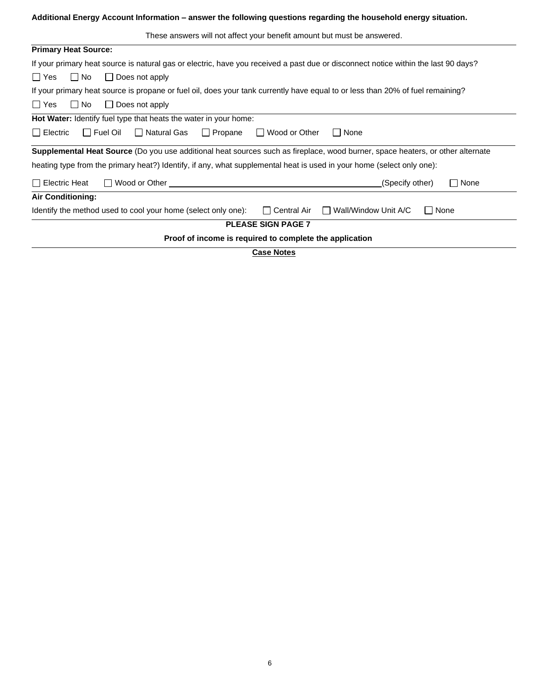**Additional Energy Account Information – answer the following questions regarding the household energy situation.**

| <b>Primary Heat Source:</b>                                                                                                                    |  |  |  |  |
|------------------------------------------------------------------------------------------------------------------------------------------------|--|--|--|--|
| If your primary heat source is natural gas or electric, have you received a past due or disconnect notice within the last 90 days?             |  |  |  |  |
| ∣∣Yes<br>∣ No<br>$\Box$ Does not apply                                                                                                         |  |  |  |  |
| If your primary heat source is propane or fuel oil, does your tank currently have equal to or less than 20% of fuel remaining?                 |  |  |  |  |
| $\Box$ Yes<br>∏ No<br>$\Box$ Does not apply                                                                                                    |  |  |  |  |
| <b>Hot Water:</b> Identify fuel type that heats the water in your home:                                                                        |  |  |  |  |
| $\Box$ Electric<br>□ Natural Gas<br>$\Box$ Propane<br>$\Box$ Fuel Oil<br>□ Wood or Other<br>$\Box$ None                                        |  |  |  |  |
| Supplemental Heat Source (Do you use additional heat sources such as fireplace, wood burner, space heaters, or other alternate                 |  |  |  |  |
| heating type from the primary heat?) Identify, if any, what supplemental heat is used in your home (select only one):                          |  |  |  |  |
| $\Box$ Electric Heat<br>$\Box$ Wood or Other $\Box$<br>$\Box$ None<br>(Specify other)                                                          |  |  |  |  |
| <b>Air Conditioning:</b>                                                                                                                       |  |  |  |  |
| Identify the method used to cool your home (select only one):<br>Wall/Window Unit A/C<br><b>□ Central Air</b><br>None<br>$\mathbf{L}$<br>$\pm$ |  |  |  |  |
| <b>PLEASE SIGN PAGE 7</b>                                                                                                                      |  |  |  |  |
| Proof of income is required to complete the application                                                                                        |  |  |  |  |

**Case Notes**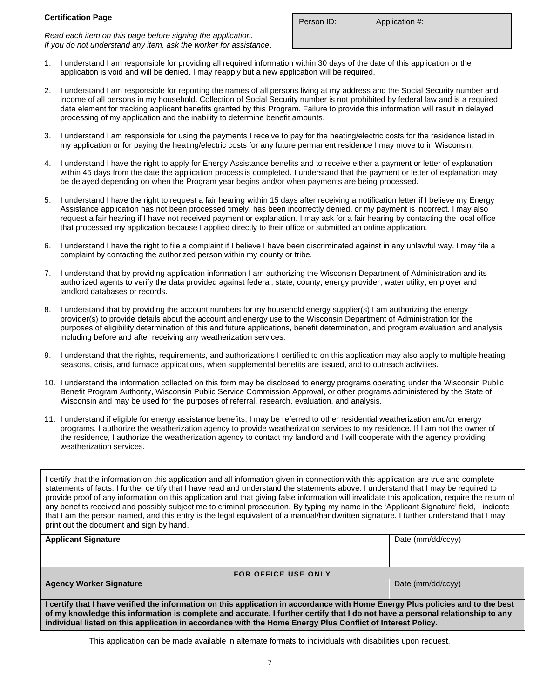#### **Certification Page**

*Read each item on this page before signing the application. If you do not understand any item, ask the worker for assistance*.

Person ID: Application #:

- 1. I understand I am responsible for providing all required information within 30 days of the date of this application or the application is void and will be denied. I may reapply but a new application will be required.
- 2. I understand I am responsible for reporting the names of all persons living at my address and the Social Security number and income of all persons in my household. Collection of Social Security number is not prohibited by federal law and is a required data element for tracking applicant benefits granted by this Program. Failure to provide this information will result in delayed processing of my application and the inability to determine benefit amounts.
- 3. I understand I am responsible for using the payments I receive to pay for the heating/electric costs for the residence listed in my application or for paying the heating/electric costs for any future permanent residence I may move to in Wisconsin.
- 4. I understand I have the right to apply for Energy Assistance benefits and to receive either a payment or letter of explanation within 45 days from the date the application process is completed. I understand that the payment or letter of explanation may be delayed depending on when the Program year begins and/or when payments are being processed.
- 5. I understand I have the right to request a fair hearing within 15 days after receiving a notification letter if I believe my Energy Assistance application has not been processed timely, has been incorrectly denied, or my payment is incorrect. I may also request a fair hearing if I have not received payment or explanation. I may ask for a fair hearing by contacting the local office that processed my application because I applied directly to their office or submitted an online application.
- 6. I understand I have the right to file a complaint if I believe I have been discriminated against in any unlawful way. I may file a complaint by contacting the authorized person within my county or tribe.
- 7. I understand that by providing application information I am authorizing the Wisconsin Department of Administration and its authorized agents to verify the data provided against federal, state, county, energy provider, water utility, employer and landlord databases or records.
- 8. I understand that by providing the account numbers for my household energy supplier(s) I am authorizing the energy provider(s) to provide details about the account and energy use to the Wisconsin Department of Administration for the purposes of eligibility determination of this and future applications, benefit determination, and program evaluation and analysis including before and after receiving any weatherization services.
- 9. I understand that the rights, requirements, and authorizations I certified to on this application may also apply to multiple heating seasons, crisis, and furnace applications, when supplemental benefits are issued, and to outreach activities.
- 10. I understand the information collected on this form may be disclosed to energy programs operating under the Wisconsin Public Benefit Program Authority, Wisconsin Public Service Commission Approval, or other programs administered by the State of Wisconsin and may be used for the purposes of referral, research, evaluation, and analysis.
- 11. I understand if eligible for energy assistance benefits, I may be referred to other residential weatherization and/or energy programs. I authorize the weatherization agency to provide weatherization services to my residence. If I am not the owner of the residence, I authorize the weatherization agency to contact my landlord and I will cooperate with the agency providing weatherization services.

I certify that the information on this application and all information given in connection with this application are true and complete statements of facts. I further certify that I have read and understand the statements above. I understand that I may be required to provide proof of any information on this application and that giving false information will invalidate this application, require the return of any benefits received and possibly subject me to criminal prosecution. By typing my name in the 'Applicant Signature' field, I indicate that I am the person named, and this entry is the legal equivalent of a manual/handwritten signature. I further understand that I may print out the document and sign by hand.

| <b>Applicant Signature</b>                                                                                                                                                                                                                                        | Date (mm/dd/ccyy) |  |
|-------------------------------------------------------------------------------------------------------------------------------------------------------------------------------------------------------------------------------------------------------------------|-------------------|--|
|                                                                                                                                                                                                                                                                   |                   |  |
|                                                                                                                                                                                                                                                                   |                   |  |
| <b>FOR OFFICE USE ONLY</b>                                                                                                                                                                                                                                        |                   |  |
| <b>Agency Worker Signature</b>                                                                                                                                                                                                                                    | Date (mm/dd/ccyy) |  |
|                                                                                                                                                                                                                                                                   |                   |  |
| I certify that I have verified the information on this application in accordance with Home Energy Plus policies and to the best<br>of my knowledge this information is complete and accurate. I further certify that I do not have a personal relationship to any |                   |  |

This application can be made available in alternate formats to individuals with disabilities upon request.

**individual listed on this application in accordance with the Home Energy Plus Conflict of Interest Policy.**